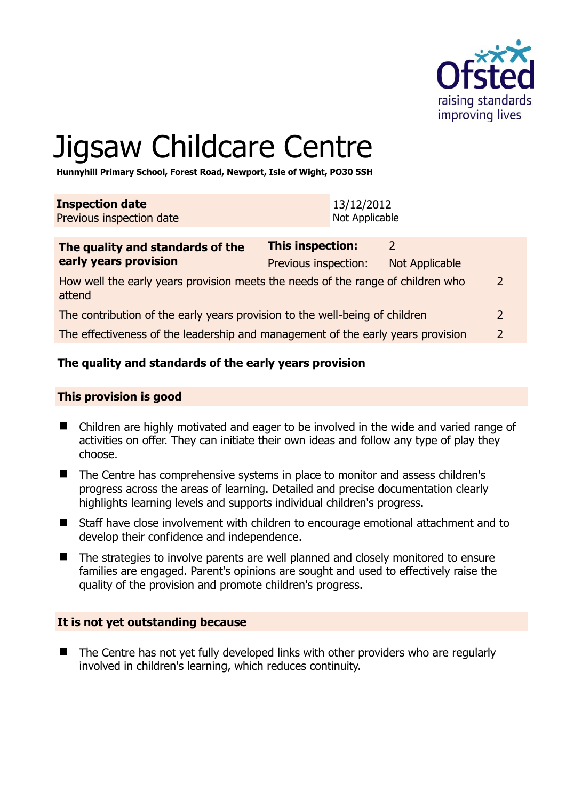

# Jigsaw Childcare Centre

**Hunnyhill Primary School, Forest Road, Newport, Isle of Wight, PO30 5SH** 

| <b>Inspection date</b>   | 13/12/2012     |
|--------------------------|----------------|
| Previous inspection date | Not Applicable |
|                          |                |

| The quality and standards of the                                                          | This inspection:<br>$\mathcal{D}$ |                |               |
|-------------------------------------------------------------------------------------------|-----------------------------------|----------------|---------------|
| early years provision                                                                     | Previous inspection:              | Not Applicable |               |
| How well the early years provision meets the needs of the range of children who<br>attend |                                   |                | $\mathcal{L}$ |
| The contribution of the early years provision to the well-being of children               |                                   |                | $\mathcal{L}$ |
| The effectiveness of the leadership and management of the early years provision           |                                   |                | $\mathcal{D}$ |
|                                                                                           |                                   |                |               |

## **The quality and standards of the early years provision**

#### **This provision is good**

- Children are highly motivated and eager to be involved in the wide and varied range of activities on offer. They can initiate their own ideas and follow any type of play they choose.
- The Centre has comprehensive systems in place to monitor and assess children's progress across the areas of learning. Detailed and precise documentation clearly highlights learning levels and supports individual children's progress.
- Staff have close involvement with children to encourage emotional attachment and to develop their confidence and independence.
- The strategies to involve parents are well planned and closely monitored to ensure families are engaged. Parent's opinions are sought and used to effectively raise the quality of the provision and promote children's progress.

#### **It is not yet outstanding because**

■ The Centre has not yet fully developed links with other providers who are regularly involved in children's learning, which reduces continuity.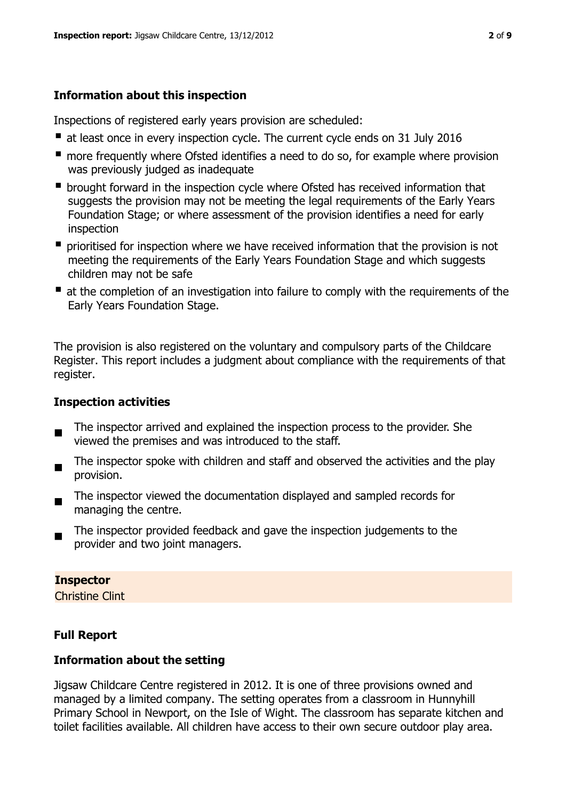## **Information about this inspection**

Inspections of registered early years provision are scheduled:

- at least once in every inspection cycle. The current cycle ends on 31 July 2016
- **n** more frequently where Ofsted identifies a need to do so, for example where provision was previously judged as inadequate
- **•** brought forward in the inspection cycle where Ofsted has received information that suggests the provision may not be meeting the legal requirements of the Early Years Foundation Stage; or where assessment of the provision identifies a need for early inspection
- **P** prioritised for inspection where we have received information that the provision is not meeting the requirements of the Early Years Foundation Stage and which suggests children may not be safe
- at the completion of an investigation into failure to comply with the requirements of the Early Years Foundation Stage.

The provision is also registered on the voluntary and compulsory parts of the Childcare Register. This report includes a judgment about compliance with the requirements of that register.

## **Inspection activities**

- $\blacksquare$ The inspector arrived and explained the inspection process to the provider. She viewed the premises and was introduced to the staff.
- $\blacksquare$ The inspector spoke with children and staff and observed the activities and the play provision.
- The inspector viewed the documentation displayed and sampled records for managing the centre.
- The inspector provided feedback and gave the inspection judgements to the provider and two joint managers.

## **Inspector**

Christine Clint

# **Full Report**

## **Information about the setting**

Jigsaw Childcare Centre registered in 2012. It is one of three provisions owned and managed by a limited company. The setting operates from a classroom in Hunnyhill Primary School in Newport, on the Isle of Wight. The classroom has separate kitchen and toilet facilities available. All children have access to their own secure outdoor play area.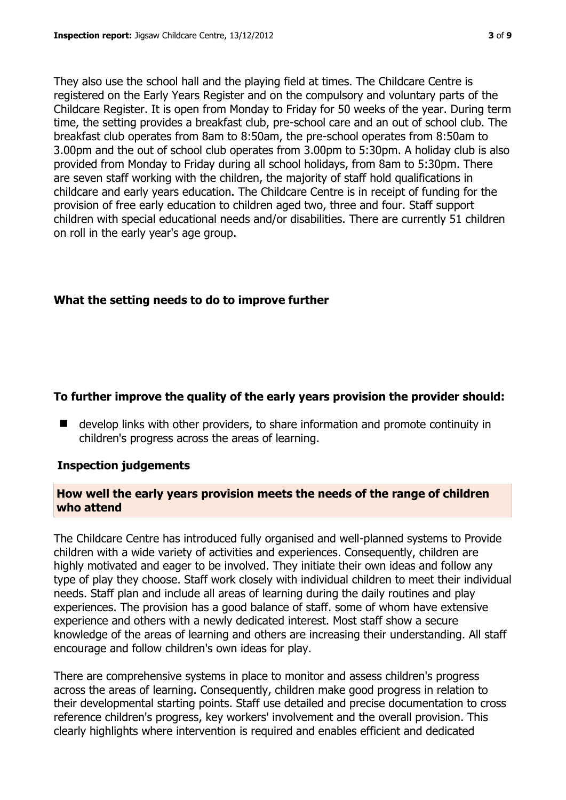They also use the school hall and the playing field at times. The Childcare Centre is registered on the Early Years Register and on the compulsory and voluntary parts of the Childcare Register. It is open from Monday to Friday for 50 weeks of the year. During term time, the setting provides a breakfast club, pre-school care and an out of school club. The breakfast club operates from 8am to 8:50am, the pre-school operates from 8:50am to 3.00pm and the out of school club operates from 3.00pm to 5:30pm. A holiday club is also provided from Monday to Friday during all school holidays, from 8am to 5:30pm. There are seven staff working with the children, the majority of staff hold qualifications in childcare and early years education. The Childcare Centre is in receipt of funding for the provision of free early education to children aged two, three and four. Staff support children with special educational needs and/or disabilities. There are currently 51 children on roll in the early year's age group.

# **What the setting needs to do to improve further**

## **To further improve the quality of the early years provision the provider should:**

 develop links with other providers, to share information and promote continuity in children's progress across the areas of learning.

## **Inspection judgements**

## **How well the early years provision meets the needs of the range of children who attend**

The Childcare Centre has introduced fully organised and well-planned systems to Provide children with a wide variety of activities and experiences. Consequently, children are highly motivated and eager to be involved. They initiate their own ideas and follow any type of play they choose. Staff work closely with individual children to meet their individual needs. Staff plan and include all areas of learning during the daily routines and play experiences. The provision has a good balance of staff. some of whom have extensive experience and others with a newly dedicated interest. Most staff show a secure knowledge of the areas of learning and others are increasing their understanding. All staff encourage and follow children's own ideas for play.

There are comprehensive systems in place to monitor and assess children's progress across the areas of learning. Consequently, children make good progress in relation to their developmental starting points. Staff use detailed and precise documentation to cross reference children's progress, key workers' involvement and the overall provision. This clearly highlights where intervention is required and enables efficient and dedicated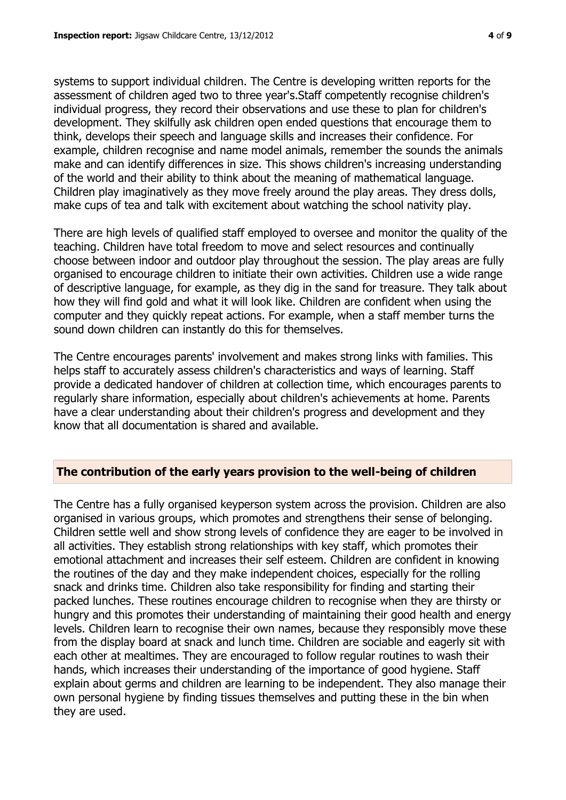systems to support individual children. The Centre is developing written reports for the assessment of children aged two to three year's.Staff competently recognise children's individual progress, they record their observations and use these to plan for children's development. They skilfully ask children open ended questions that encourage them to think, develops their speech and language skills and increases their confidence. For example, children recognise and name model animals, remember the sounds the animals make and can identify differences in size. This shows children's increasing understanding of the world and their ability to think about the meaning of mathematical language. Children play imaginatively as they move freely around the play areas. They dress dolls, make cups of tea and talk with excitement about watching the school nativity play.

There are high levels of qualified staff employed to oversee and monitor the quality of the teaching. Children have total freedom to move and select resources and continually choose between indoor and outdoor play throughout the session. The play areas are fully organised to encourage children to initiate their own activities. Children use a wide range of descriptive language, for example, as they dig in the sand for treasure. They talk about how they will find gold and what it will look like. Children are confident when using the computer and they quickly repeat actions. For example, when a staff member turns the sound down children can instantly do this for themselves.

The Centre encourages parents' involvement and makes strong links with families. This helps staff to accurately assess children's characteristics and ways of learning. Staff provide a dedicated handover of children at collection time, which encourages parents to regularly share information, especially about children's achievements at home. Parents have a clear understanding about their children's progress and development and they know that all documentation is shared and available.

# **The contribution of the early years provision to the well-being of children**

The Centre has a fully organised keyperson system across the provision. Children are also organised in various groups, which promotes and strengthens their sense of belonging. Children settle well and show strong levels of confidence they are eager to be involved in all activities. They establish strong relationships with key staff, which promotes their emotional attachment and increases their self esteem. Children are confident in knowing the routines of the day and they make independent choices, especially for the rolling snack and drinks time. Children also take responsibility for finding and starting their packed lunches. These routines encourage children to recognise when they are thirsty or hungry and this promotes their understanding of maintaining their good health and energy levels. Children learn to recognise their own names, because they responsibly move these from the display board at snack and lunch time. Children are sociable and eagerly sit with each other at mealtimes. They are encouraged to follow regular routines to wash their hands, which increases their understanding of the importance of good hygiene. Staff explain about germs and children are learning to be independent. They also manage their own personal hygiene by finding tissues themselves and putting these in the bin when they are used.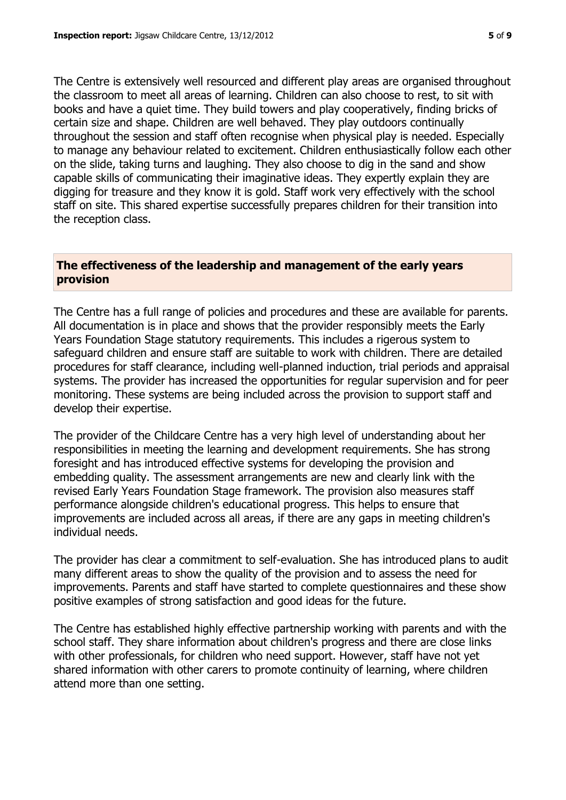The Centre is extensively well resourced and different play areas are organised throughout the classroom to meet all areas of learning. Children can also choose to rest, to sit with books and have a quiet time. They build towers and play cooperatively, finding bricks of certain size and shape. Children are well behaved. They play outdoors continually throughout the session and staff often recognise when physical play is needed. Especially to manage any behaviour related to excitement. Children enthusiastically follow each other on the slide, taking turns and laughing. They also choose to dig in the sand and show capable skills of communicating their imaginative ideas. They expertly explain they are digging for treasure and they know it is gold. Staff work very effectively with the school staff on site. This shared expertise successfully prepares children for their transition into the reception class.

#### **The effectiveness of the leadership and management of the early years provision**

The Centre has a full range of policies and procedures and these are available for parents. All documentation is in place and shows that the provider responsibly meets the Early Years Foundation Stage statutory requirements. This includes a rigerous system to safeguard children and ensure staff are suitable to work with children. There are detailed procedures for staff clearance, including well-planned induction, trial periods and appraisal systems. The provider has increased the opportunities for regular supervision and for peer monitoring. These systems are being included across the provision to support staff and develop their expertise.

The provider of the Childcare Centre has a very high level of understanding about her responsibilities in meeting the learning and development requirements. She has strong foresight and has introduced effective systems for developing the provision and embedding quality. The assessment arrangements are new and clearly link with the revised Early Years Foundation Stage framework. The provision also measures staff performance alongside children's educational progress. This helps to ensure that improvements are included across all areas, if there are any gaps in meeting children's individual needs.

The provider has clear a commitment to self-evaluation. She has introduced plans to audit many different areas to show the quality of the provision and to assess the need for improvements. Parents and staff have started to complete questionnaires and these show positive examples of strong satisfaction and good ideas for the future.

The Centre has established highly effective partnership working with parents and with the school staff. They share information about children's progress and there are close links with other professionals, for children who need support. However, staff have not yet shared information with other carers to promote continuity of learning, where children attend more than one setting.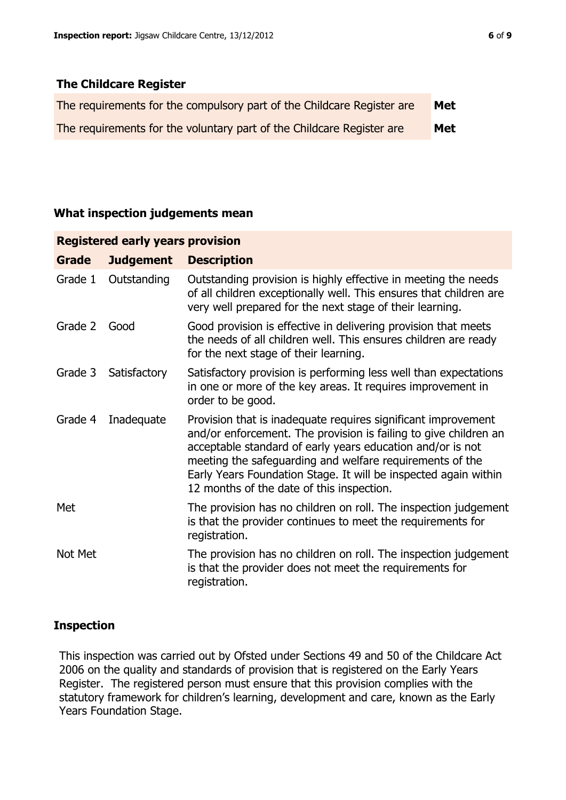## **The Childcare Register**

| The requirements for the compulsory part of the Childcare Register are | Met |
|------------------------------------------------------------------------|-----|
| The requirements for the voluntary part of the Childcare Register are  | Met |

#### **What inspection judgements mean**

| <b>Registered early years provision</b> |                  |                                                                                                                                                                                                                                                                                                                                                                             |  |  |
|-----------------------------------------|------------------|-----------------------------------------------------------------------------------------------------------------------------------------------------------------------------------------------------------------------------------------------------------------------------------------------------------------------------------------------------------------------------|--|--|
| Grade                                   | <b>Judgement</b> | <b>Description</b>                                                                                                                                                                                                                                                                                                                                                          |  |  |
| Grade 1                                 | Outstanding      | Outstanding provision is highly effective in meeting the needs<br>of all children exceptionally well. This ensures that children are<br>very well prepared for the next stage of their learning.                                                                                                                                                                            |  |  |
| Grade 2                                 | Good             | Good provision is effective in delivering provision that meets<br>the needs of all children well. This ensures children are ready<br>for the next stage of their learning.                                                                                                                                                                                                  |  |  |
| Grade 3                                 | Satisfactory     | Satisfactory provision is performing less well than expectations<br>in one or more of the key areas. It requires improvement in<br>order to be good.                                                                                                                                                                                                                        |  |  |
| Grade 4                                 | Inadequate       | Provision that is inadequate requires significant improvement<br>and/or enforcement. The provision is failing to give children an<br>acceptable standard of early years education and/or is not<br>meeting the safeguarding and welfare requirements of the<br>Early Years Foundation Stage. It will be inspected again within<br>12 months of the date of this inspection. |  |  |
| Met                                     |                  | The provision has no children on roll. The inspection judgement<br>is that the provider continues to meet the requirements for<br>registration.                                                                                                                                                                                                                             |  |  |
| Not Met                                 |                  | The provision has no children on roll. The inspection judgement<br>is that the provider does not meet the requirements for<br>registration.                                                                                                                                                                                                                                 |  |  |

## **Inspection**

This inspection was carried out by Ofsted under Sections 49 and 50 of the Childcare Act 2006 on the quality and standards of provision that is registered on the Early Years Register. The registered person must ensure that this provision complies with the statutory framework for children's learning, development and care, known as the Early Years Foundation Stage.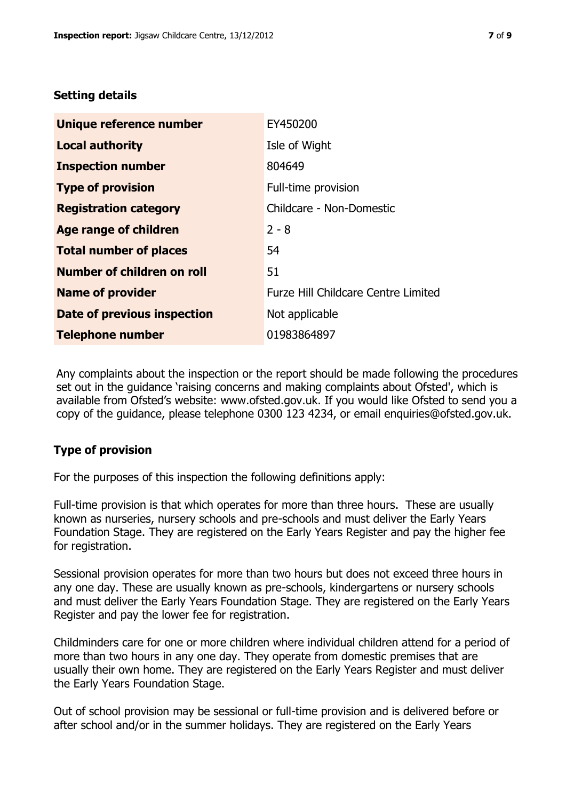## **Setting details**

| Unique reference number       | EY450200                            |
|-------------------------------|-------------------------------------|
| <b>Local authority</b>        | Isle of Wight                       |
| <b>Inspection number</b>      | 804649                              |
| <b>Type of provision</b>      | Full-time provision                 |
| <b>Registration category</b>  | Childcare - Non-Domestic            |
| Age range of children         | $2 - 8$                             |
| <b>Total number of places</b> | 54                                  |
| Number of children on roll    | 51                                  |
| <b>Name of provider</b>       | Furze Hill Childcare Centre Limited |
| Date of previous inspection   | Not applicable                      |
| <b>Telephone number</b>       | 01983864897                         |

Any complaints about the inspection or the report should be made following the procedures set out in the guidance 'raising concerns and making complaints about Ofsted', which is available from Ofsted's website: www.ofsted.gov.uk. If you would like Ofsted to send you a copy of the guidance, please telephone 0300 123 4234, or email enquiries@ofsted.gov.uk.

# **Type of provision**

For the purposes of this inspection the following definitions apply:

Full-time provision is that which operates for more than three hours. These are usually known as nurseries, nursery schools and pre-schools and must deliver the Early Years Foundation Stage. They are registered on the Early Years Register and pay the higher fee for registration.

Sessional provision operates for more than two hours but does not exceed three hours in any one day. These are usually known as pre-schools, kindergartens or nursery schools and must deliver the Early Years Foundation Stage. They are registered on the Early Years Register and pay the lower fee for registration.

Childminders care for one or more children where individual children attend for a period of more than two hours in any one day. They operate from domestic premises that are usually their own home. They are registered on the Early Years Register and must deliver the Early Years Foundation Stage.

Out of school provision may be sessional or full-time provision and is delivered before or after school and/or in the summer holidays. They are registered on the Early Years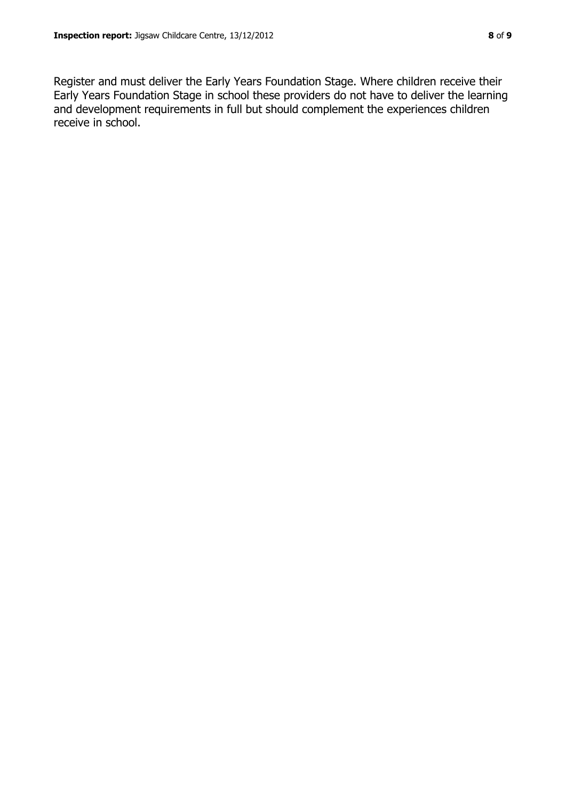Register and must deliver the Early Years Foundation Stage. Where children receive their Early Years Foundation Stage in school these providers do not have to deliver the learning and development requirements in full but should complement the experiences children receive in school.